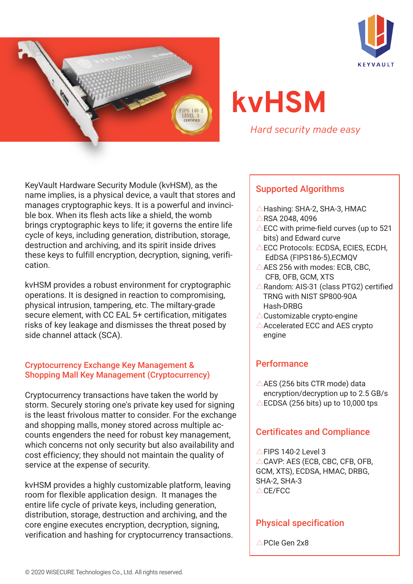



# **kvHSM**

*Hard security made easy*

KeyVault Hardware Security Module (kvHSM), as the name implies, is a physical device, a vault that stores and manages cryptographic keys. It is a powerful and invincible box. When its flesh acts like a shield, the womb brings cryptographic keys to life; it governs the entire life cycle of keys, including generation, distribution, storage, destruction and archiving, and its spirit inside drives these keys to fulfill encryption, decryption, signing, verification.

kvHSM provides a robust environment for cryptographic operations. It is designed in reaction to compromising, physical intrusion, tampering, etc. The miltary-grade secure element, with CC EAL 5+ certification, mitigates risks of key leakage and dismisses the threat posed by side channel attack (SCA).

## Cryptocurrency Exchange Key Management & Shopping Mall Key Management (Cryptocurrency)

Cryptocurrency transactions have taken the world by storm. Securely storing one's private key used for signing is the least frivolous matter to consider. For the exchange and shopping malls, money stored across multiple accounts engenders the need for robust key management, which concerns not only security but also availability and cost efficiency; they should not maintain the quality of service at the expense of security.

kvHSM provides a highly customizable platform, leaving room for flexible application design. It manages the entire life cycle of private keys, including generation, distribution, storage, destruction and archiving, and the core engine executes encryption, decryption, signing, verification and hashing for cryptocurrency transactions.

## Supported Algorithms

- △Hashing: SHA-2, SHA-3, HMAC
- △RSA 2048, 4096
- $\triangle$ ECC with prime-field curves (up to 521 bits) and Edward curve
- △ECC Protocols: ECDSA, ECIES, ECDH, EdDSA (FIPS186-5),ECMQV
- $\triangle$ AES 256 with modes: ECB, CBC, CFB, OFB, GCM, XTS
- △Random: AIS-31 (class PTG2) certified TRNG with NIST SP800-90A Hash-DRBG
- $\triangle$ Customizable crypto-engine
- $\triangle$ Accelerated ECC and AES crypto engine

# **Performance**

 $\triangle$ AES (256 bits CTR mode) data encryption/decryption up to 2.5 GB/s  $\triangle$ ECDSA (256 bits) up to 10,000 tps

# Certificates and Compliance

 $\triangle$ FIPS 140-2 Level 3  $\triangle$ CAVP: AES (ECB, CBC, CFB, OFB, GCM, XTS), ECDSA, HMAC, DRBG, SHA-2, SHA-3 △CE/FCC

## Physical specification

△PCIe Gen 2x8